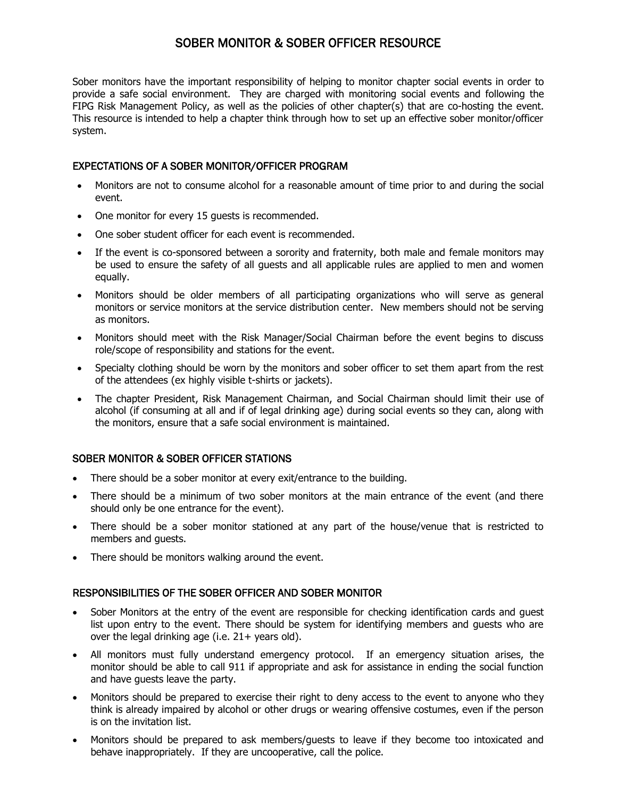# SOBER MONITOR & SOBER OFFICER RESOURCE

Sober monitors have the important responsibility of helping to monitor chapter social events in order to provide a safe social environment. They are charged with monitoring social events and following the FIPG Risk Management Policy, as well as the policies of other chapter(s) that are co-hosting the event. This resource is intended to help a chapter think through how to set up an effective sober monitor/officer system.

## EXPECTATIONS OF A SOBER MONITOR/OFFICER PROGRAM

- Monitors are not to consume alcohol for a reasonable amount of time prior to and during the social event.
- One monitor for every 15 guests is recommended.
- One sober student officer for each event is recommended.
- If the event is co-sponsored between a sorority and fraternity, both male and female monitors may be used to ensure the safety of all guests and all applicable rules are applied to men and women equally.
- Monitors should be older members of all participating organizations who will serve as general monitors or service monitors at the service distribution center. New members should not be serving as monitors.
- Monitors should meet with the Risk Manager/Social Chairman before the event begins to discuss role/scope of responsibility and stations for the event.
- Specialty clothing should be worn by the monitors and sober officer to set them apart from the rest of the attendees (ex highly visible t-shirts or jackets).
- The chapter President, Risk Management Chairman, and Social Chairman should limit their use of alcohol (if consuming at all and if of legal drinking age) during social events so they can, along with the monitors, ensure that a safe social environment is maintained.

### SOBER MONITOR & SOBER OFFICER STATIONS

- There should be a sober monitor at every exit/entrance to the building.
- There should be a minimum of two sober monitors at the main entrance of the event (and there should only be one entrance for the event).
- There should be a sober monitor stationed at any part of the house/venue that is restricted to members and guests.
- There should be monitors walking around the event.

### RESPONSIBILITIES OF THE SOBER OFFICER AND SOBER MONITOR

- Sober Monitors at the entry of the event are responsible for checking identification cards and guest list upon entry to the event. There should be system for identifying members and guests who are over the legal drinking age (i.e. 21+ years old).
- All monitors must fully understand emergency protocol. If an emergency situation arises, the monitor should be able to call 911 if appropriate and ask for assistance in ending the social function and have guests leave the party.
- Monitors should be prepared to exercise their right to deny access to the event to anyone who they think is already impaired by alcohol or other drugs or wearing offensive costumes, even if the person is on the invitation list.
- Monitors should be prepared to ask members/guests to leave if they become too intoxicated and behave inappropriately. If they are uncooperative, call the police.